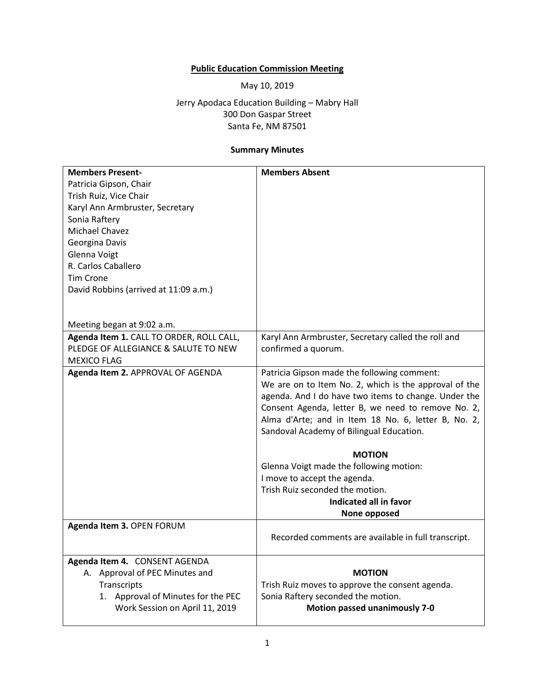## **Public Education Commission Meeting**

May 10, 2019

Jerry Apodaca Education Building – Mabry Hall 300 Don Gaspar Street Santa Fe, NM 87501

## **Summary Minutes**

| <b>Members Present-</b>                  | <b>Members Absent</b>                                 |
|------------------------------------------|-------------------------------------------------------|
|                                          |                                                       |
| Patricia Gipson, Chair                   |                                                       |
| Trish Ruiz, Vice Chair                   |                                                       |
| Karyl Ann Armbruster, Secretary          |                                                       |
| Sonia Raftery                            |                                                       |
| Michael Chavez                           |                                                       |
| Georgina Davis                           |                                                       |
| Glenna Voigt                             |                                                       |
| R. Carlos Caballero                      |                                                       |
| <b>Tim Crone</b>                         |                                                       |
| David Robbins (arrived at 11:09 a.m.)    |                                                       |
|                                          |                                                       |
|                                          |                                                       |
| Meeting began at 9:02 a.m.               |                                                       |
| Agenda Item 1. CALL TO ORDER, ROLL CALL, | Karyl Ann Armbruster, Secretary called the roll and   |
| PLEDGE OF ALLEGIANCE & SALUTE TO NEW     | confirmed a quorum.                                   |
| <b>MEXICO FLAG</b>                       |                                                       |
| Agenda Item 2. APPROVAL OF AGENDA        | Patricia Gipson made the following comment:           |
|                                          | We are on to Item No. 2, which is the approval of the |
|                                          | agenda. And I do have two items to change. Under the  |
|                                          | Consent Agenda, letter B, we need to remove No. 2,    |
|                                          | Alma d'Arte; and in Item 18 No. 6, letter B, No. 2,   |
|                                          | Sandoval Academy of Bilingual Education.              |
|                                          | <b>MOTION</b>                                         |
|                                          | Glenna Voigt made the following motion:               |
|                                          | I move to accept the agenda.                          |
|                                          | Trish Ruiz seconded the motion.                       |
|                                          | Indicated all in favor                                |
|                                          | None opposed                                          |
| Agenda Item 3. OPEN FORUM                |                                                       |
|                                          | Recorded comments are available in full transcript.   |
|                                          |                                                       |
| Agenda Item 4. CONSENT AGENDA            |                                                       |
| A. Approval of PEC Minutes and           | <b>MOTION</b>                                         |
| Transcripts                              | Trish Ruiz moves to approve the consent agenda.       |
| 1. Approval of Minutes for the PEC       | Sonia Raftery seconded the motion.                    |
| Work Session on April 11, 2019           | <b>Motion passed unanimously 7-0</b>                  |
|                                          |                                                       |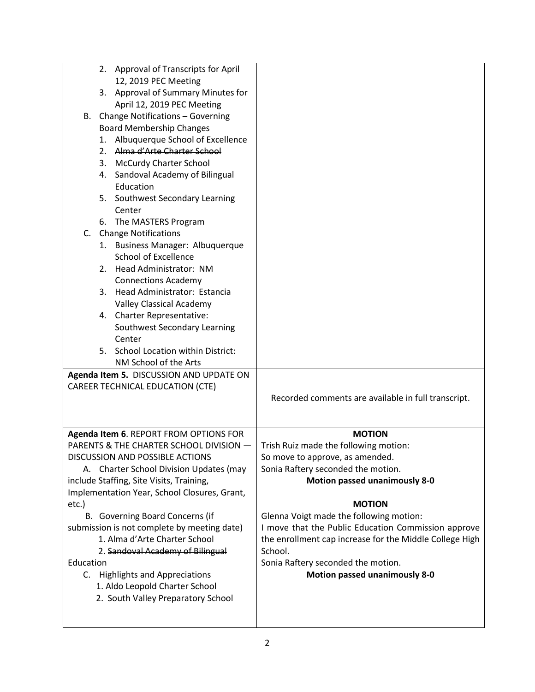|                    | 2. Approval of Transcripts for April<br>12, 2019 PEC Meeting<br>3. Approval of Summary Minutes for<br>April 12, 2019 PEC Meeting<br>B. Change Notifications - Governing<br><b>Board Membership Changes</b><br>1. Albuquerque School of Excellence<br>2. Alma d'Arte Charter School<br>3. McCurdy Charter School<br>4. Sandoval Academy of Bilingual<br>Education<br>5. Southwest Secondary Learning                                                                                                                           |                                                                                                                                                                                                                                                                                                                                                                                                                                                |
|--------------------|-------------------------------------------------------------------------------------------------------------------------------------------------------------------------------------------------------------------------------------------------------------------------------------------------------------------------------------------------------------------------------------------------------------------------------------------------------------------------------------------------------------------------------|------------------------------------------------------------------------------------------------------------------------------------------------------------------------------------------------------------------------------------------------------------------------------------------------------------------------------------------------------------------------------------------------------------------------------------------------|
|                    | Center<br>6. The MASTERS Program<br>C. Change Notifications<br>1. Business Manager: Albuquerque<br><b>School of Excellence</b><br>2. Head Administrator: NM<br><b>Connections Academy</b><br>3. Head Administrator: Estancia<br>Valley Classical Academy<br>4. Charter Representative:<br>Southwest Secondary Learning<br>Center<br>5. School Location within District:<br>NM School of the Arts                                                                                                                              |                                                                                                                                                                                                                                                                                                                                                                                                                                                |
|                    | Agenda Item 5. DISCUSSION AND UPDATE ON<br>CAREER TECHNICAL EDUCATION (CTE)                                                                                                                                                                                                                                                                                                                                                                                                                                                   | Recorded comments are available in full transcript.                                                                                                                                                                                                                                                                                                                                                                                            |
| etc.)<br>Education | Agenda Item 6. REPORT FROM OPTIONS FOR<br>PARENTS & THE CHARTER SCHOOL DIVISION -<br>DISCUSSION AND POSSIBLE ACTIONS<br>A. Charter School Division Updates (may<br>include Staffing, Site Visits, Training,<br>Implementation Year, School Closures, Grant,<br>B. Governing Board Concerns (if<br>submission is not complete by meeting date)<br>1. Alma d'Arte Charter School<br>2. Sandoval Academy of Bilingual<br>C. Highlights and Appreciations<br>1. Aldo Leopold Charter School<br>2. South Valley Preparatory School | <b>MOTION</b><br>Trish Ruiz made the following motion:<br>So move to approve, as amended.<br>Sonia Raftery seconded the motion.<br><b>Motion passed unanimously 8-0</b><br><b>MOTION</b><br>Glenna Voigt made the following motion:<br>I move that the Public Education Commission approve<br>the enrollment cap increase for the Middle College High<br>School.<br>Sonia Raftery seconded the motion.<br><b>Motion passed unanimously 8-0</b> |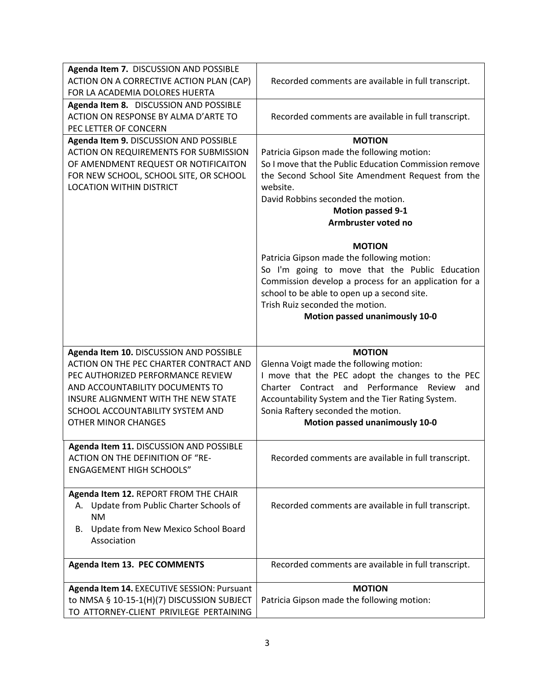| Agenda Item 7. DISCUSSION AND POSSIBLE                                                    |                                                                                                     |
|-------------------------------------------------------------------------------------------|-----------------------------------------------------------------------------------------------------|
| ACTION ON A CORRECTIVE ACTION PLAN (CAP)                                                  | Recorded comments are available in full transcript.                                                 |
| FOR LA ACADEMIA DOLORES HUERTA                                                            |                                                                                                     |
| Agenda Item 8. DISCUSSION AND POSSIBLE                                                    |                                                                                                     |
| ACTION ON RESPONSE BY ALMA D'ARTE TO                                                      | Recorded comments are available in full transcript.                                                 |
| PEC LETTER OF CONCERN                                                                     |                                                                                                     |
| Agenda Item 9. DISCUSSION AND POSSIBLE<br><b>ACTION ON REQUIREMENTS FOR SUBMISSION</b>    | <b>MOTION</b>                                                                                       |
| OF AMENDMENT REQUEST OR NOTIFICAITON                                                      | Patricia Gipson made the following motion:<br>So I move that the Public Education Commission remove |
| FOR NEW SCHOOL, SCHOOL SITE, OR SCHOOL                                                    | the Second School Site Amendment Request from the                                                   |
| <b>LOCATION WITHIN DISTRICT</b>                                                           | website.                                                                                            |
|                                                                                           | David Robbins seconded the motion.                                                                  |
|                                                                                           | <b>Motion passed 9-1</b>                                                                            |
|                                                                                           | Armbruster voted no                                                                                 |
|                                                                                           |                                                                                                     |
|                                                                                           | <b>MOTION</b>                                                                                       |
|                                                                                           | Patricia Gipson made the following motion:                                                          |
|                                                                                           | So I'm going to move that the Public Education                                                      |
|                                                                                           | Commission develop a process for an application for a                                               |
|                                                                                           | school to be able to open up a second site.                                                         |
|                                                                                           | Trish Ruiz seconded the motion.                                                                     |
|                                                                                           | Motion passed unanimously 10-0                                                                      |
|                                                                                           |                                                                                                     |
|                                                                                           |                                                                                                     |
|                                                                                           |                                                                                                     |
| Agenda Item 10. DISCUSSION AND POSSIBLE                                                   | <b>MOTION</b>                                                                                       |
| ACTION ON THE PEC CHARTER CONTRACT AND                                                    | Glenna Voigt made the following motion:                                                             |
| PEC AUTHORIZED PERFORMANCE REVIEW                                                         | I move that the PEC adopt the changes to the PEC<br>Charter Contract and Performance Review<br>and  |
| AND ACCOUNTABILITY DOCUMENTS TO<br>INSURE ALIGNMENT WITH THE NEW STATE                    |                                                                                                     |
| SCHOOL ACCOUNTABILITY SYSTEM AND                                                          | Accountability System and the Tier Rating System.<br>Sonia Raftery seconded the motion.             |
| <b>OTHER MINOR CHANGES</b>                                                                | Motion passed unanimously 10-0                                                                      |
|                                                                                           |                                                                                                     |
| Agenda Item 11. DISCUSSION AND POSSIBLE                                                   |                                                                                                     |
| ACTION ON THE DEFINITION OF "RE-                                                          | Recorded comments are available in full transcript.                                                 |
| <b>ENGAGEMENT HIGH SCHOOLS"</b>                                                           |                                                                                                     |
|                                                                                           |                                                                                                     |
| Agenda Item 12. REPORT FROM THE CHAIR                                                     |                                                                                                     |
| A. Update from Public Charter Schools of                                                  | Recorded comments are available in full transcript.                                                 |
| <b>NM</b><br>В.                                                                           |                                                                                                     |
| Update from New Mexico School Board<br>Association                                        |                                                                                                     |
|                                                                                           |                                                                                                     |
| Agenda Item 13. PEC COMMENTS                                                              | Recorded comments are available in full transcript.                                                 |
|                                                                                           | <b>MOTION</b>                                                                                       |
| Agenda Item 14. EXECUTIVE SESSION: Pursuant<br>to NMSA § 10-15-1(H)(7) DISCUSSION SUBJECT | Patricia Gipson made the following motion:                                                          |